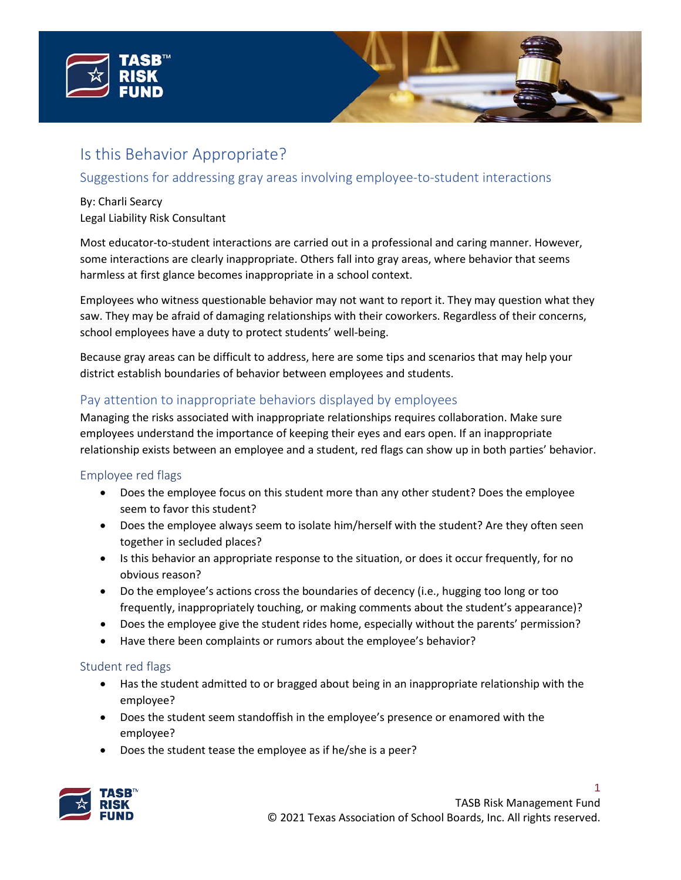



# Suggestions for addressing gray areas involving employee-to-student interactions

### By: Charli Searcy Legal Liability Risk Consultant

Most educator-to-student interactions are carried out in a professional and caring manner. However, some interactions are clearly inappropriate. Others fall into gray areas, where behavior that seems harmless at first glance becomes inappropriate in a school context.

Employees who witness questionable behavior may not want to report it. They may question what they saw. They may be afraid of damaging relationships with their coworkers. Regardless of their concerns, school employees have a duty to protect students' well-being.

Because gray areas can be difficult to address, here are some tips and scenarios that may help your district establish boundaries of behavior between employees and students.

# Pay attention to inappropriate behaviors displayed by employees

Managing the risks associated with inappropriate relationships requires collaboration. Make sure employees understand the importance of keeping their eyes and ears open. If an inappropriate relationship exists between an employee and a student, red flags can show up in both parties' behavior.

## Employee red flags

- Does the employee focus on this student more than any other student? Does the employee seem to favor this student?
- Does the employee always seem to isolate him/herself with the student? Are they often seen together in secluded places?
- Is this behavior an appropriate response to the situation, or does it occur frequently, for no obvious reason?
- Do the employee's actions cross the boundaries of decency (i.e., hugging too long or too frequently, inappropriately touching, or making comments about the student's appearance)?
- Does the employee give the student rides home, especially without the parents' permission?
- Have there been complaints or rumors about the employee's behavior?

## Student red flags

- Has the student admitted to or bragged about being in an inappropriate relationship with the employee?
- Does the student seem standoffish in the employee's presence or enamored with the employee?
- Does the student tease the employee as if he/she is a peer?

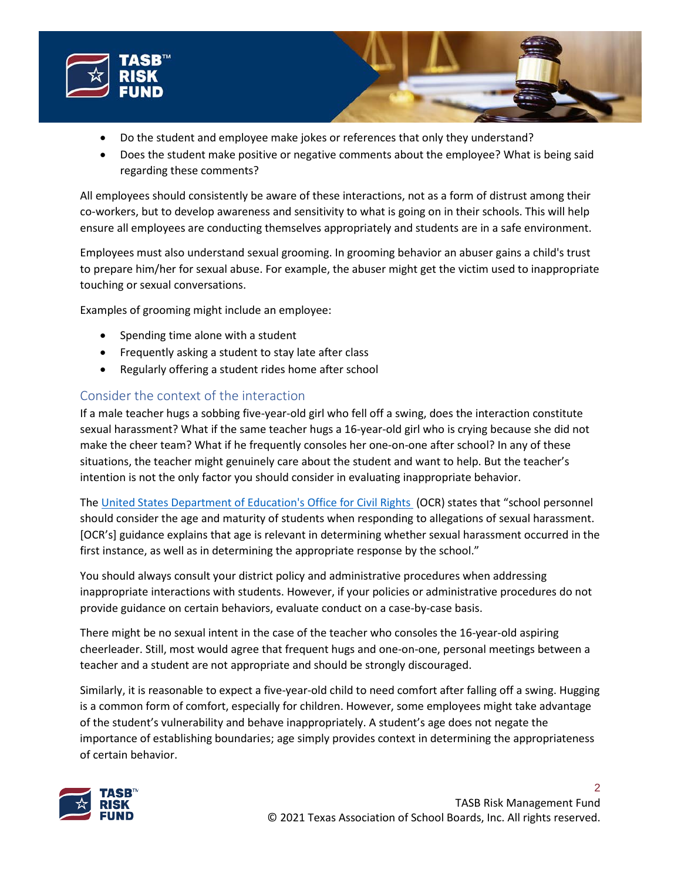



• Does the student make positive or negative comments about the employee? What is being said regarding these comments?

All employees should consistently be aware of these interactions, not as a form of distrust among their co-workers, but to develop awareness and sensitivity to what is going on in their schools. This will help ensure all employees are conducting themselves appropriately and students are in a safe environment.

Employees must also understand sexual grooming. In grooming behavior an abuser gains a child's trust to prepare him/her for sexual abuse. For example, the abuser might get the victim used to inappropriate touching or sexual conversations.

Examples of grooming might include an employee:

- Spending time alone with a student
- Frequently asking a student to stay late after class
- Regularly offering a student rides home after school

# Consider the context of the interaction

If a male teacher hugs a sobbing five-year-old girl who fell off a swing, does the interaction constitute sexual harassment? What if the same teacher hugs a 16-year-old girl who is crying because she did not make the cheer team? What if he frequently consoles her one-on-one after school? In any of these situations, the teacher might genuinely care about the student and want to help. But the teacher's intention is not the only factor you should consider in evaluating inappropriate behavior.

The [United States Department of Education's Office for Civil Rights](https://www2.ed.gov/about/offices/list/ocr/docs/sexhar00.html) (OCR) states that "school personnel should consider the age and maturity of students when responding to allegations of sexual harassment. [OCR's] guidance explains that age is relevant in determining whether sexual harassment occurred in the first instance, as well as in determining the appropriate response by the school."

You should always consult your district policy and administrative procedures when addressing inappropriate interactions with students. However, if your policies or administrative procedures do not provide guidance on certain behaviors, evaluate conduct on a case-by-case basis.

There might be no sexual intent in the case of the teacher who consoles the 16-year-old aspiring cheerleader. Still, most would agree that frequent hugs and one-on-one, personal meetings between a teacher and a student are not appropriate and should be strongly discouraged.

Similarly, it is reasonable to expect a five-year-old child to need comfort after falling off a swing. Hugging is a common form of comfort, especially for children. However, some employees might take advantage of the student's vulnerability and behave inappropriately. A student's age does not negate the importance of establishing boundaries; age simply provides context in determining the appropriateness of certain behavior.

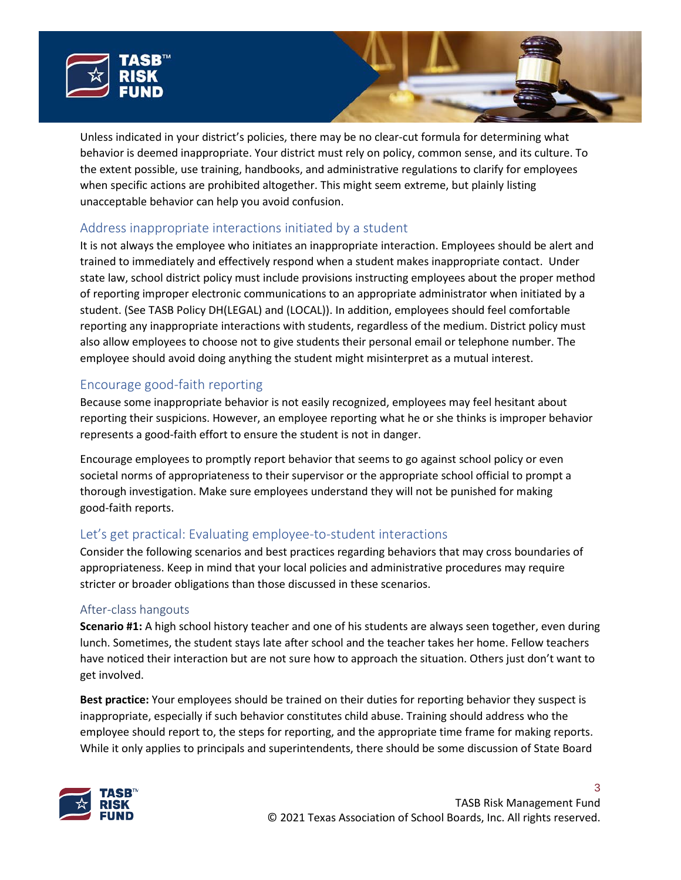



# Address inappropriate interactions initiated by a student

It is not always the employee who initiates an inappropriate interaction. Employees should be alert and trained to immediately and effectively respond when a student makes inappropriate contact. Under state law, school district policy must include provisions instructing employees about the proper method of reporting improper electronic communications to an appropriate administrator when initiated by a student. (See TASB Policy DH(LEGAL) and (LOCAL)). In addition, employees should feel comfortable reporting any inappropriate interactions with students, regardless of the medium. District policy must also allow employees to choose not to give students their personal email or telephone number. The employee should avoid doing anything the student might misinterpret as a mutual interest.

# Encourage good-faith reporting

Because some inappropriate behavior is not easily recognized, employees may feel hesitant about reporting their suspicions. However, an employee reporting what he or she thinks is improper behavior represents a good-faith effort to ensure the student is not in danger.

Encourage employees to promptly report behavior that seems to go against school policy or even societal norms of appropriateness to their supervisor or the appropriate school official to prompt a thorough investigation. Make sure employees understand they will not be punished for making good-faith reports.

# Let's get practical: Evaluating employee-to-student interactions

Consider the following scenarios and best practices regarding behaviors that may cross boundaries of appropriateness. Keep in mind that your local policies and administrative procedures may require stricter or broader obligations than those discussed in these scenarios.

#### After-class hangouts

**Scenario #1:** A high school history teacher and one of his students are always seen together, even during lunch. Sometimes, the student stays late after school and the teacher takes her home. Fellow teachers have noticed their interaction but are not sure how to approach the situation. Others just don't want to get involved.

**Best practice:** Your employees should be trained on their duties for reporting behavior they suspect is inappropriate, especially if such behavior constitutes child abuse. Training should address who the employee should report to, the steps for reporting, and the appropriate time frame for making reports. While it only applies to principals and superintendents, there should be some discussion of State Board

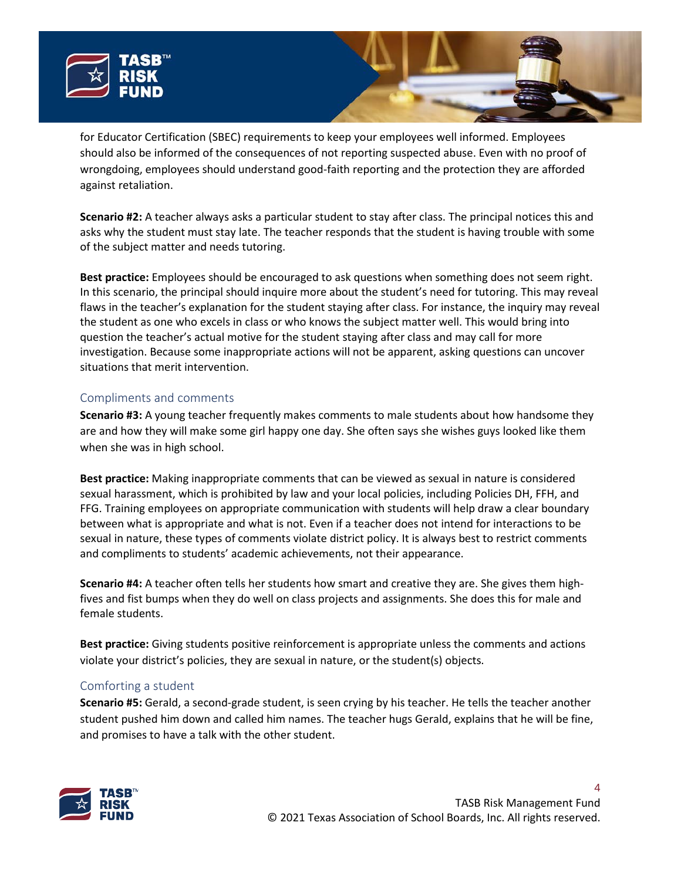



for Educator Certification (SBEC) requirements to keep your employees well informed. Employees should also be informed of the consequences of not reporting suspected abuse. Even with no proof of wrongdoing, employees should understand good-faith reporting and the protection they are afforded against retaliation.

**Scenario #2:** A teacher always asks a particular student to stay after class. The principal notices this and asks why the student must stay late. The teacher responds that the student is having trouble with some of the subject matter and needs tutoring.

**Best practice:** Employees should be encouraged to ask questions when something does not seem right. In this scenario, the principal should inquire more about the student's need for tutoring. This may reveal flaws in the teacher's explanation for the student staying after class. For instance, the inquiry may reveal the student as one who excels in class or who knows the subject matter well. This would bring into question the teacher's actual motive for the student staying after class and may call for more investigation. Because some inappropriate actions will not be apparent, asking questions can uncover situations that merit intervention.

### Compliments and comments

**Scenario #3:** A young teacher frequently makes comments to male students about how handsome they are and how they will make some girl happy one day. She often says she wishes guys looked like them when she was in high school.

**Best practice:** Making inappropriate comments that can be viewed as sexual in nature is considered sexual harassment, which is prohibited by law and your local policies, including Policies DH, FFH, and FFG. Training employees on appropriate communication with students will help draw a clear boundary between what is appropriate and what is not. Even if a teacher does not intend for interactions to be sexual in nature, these types of comments violate district policy. It is always best to restrict comments and compliments to students' academic achievements, not their appearance.

**Scenario #4:** A teacher often tells her students how smart and creative they are. She gives them highfives and fist bumps when they do well on class projects and assignments. She does this for male and female students.

**Best practice:** Giving students positive reinforcement is appropriate unless the comments and actions violate your district's policies, they are sexual in nature, or the student(s) objects.

## Comforting a student

**Scenario #5:** Gerald, a second-grade student, is seen crying by his teacher. He tells the teacher another student pushed him down and called him names. The teacher hugs Gerald, explains that he will be fine, and promises to have a talk with the other student.

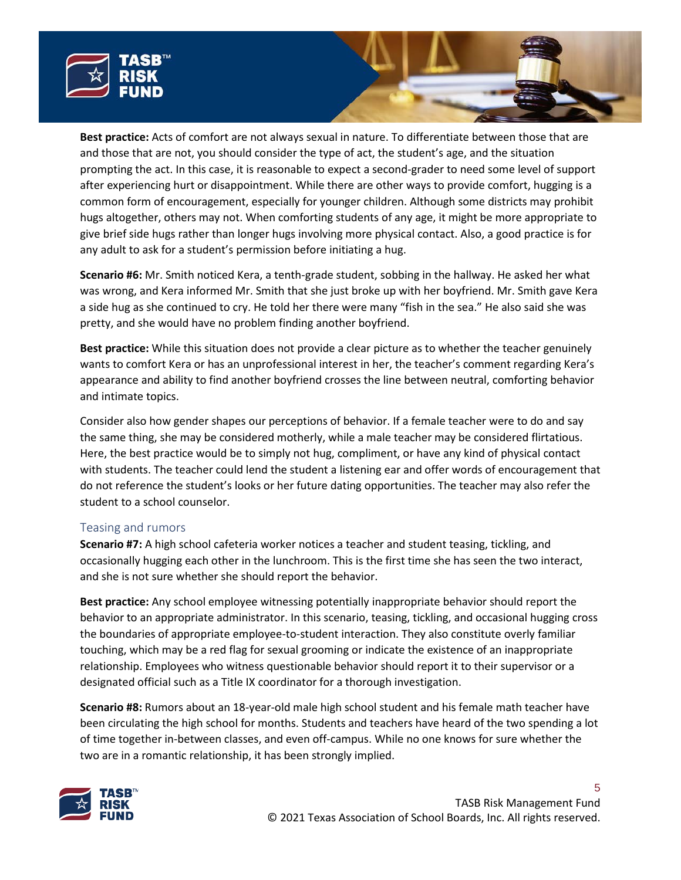



**Scenario #6:** Mr. Smith noticed Kera, a tenth-grade student, sobbing in the hallway. He asked her what was wrong, and Kera informed Mr. Smith that she just broke up with her boyfriend. Mr. Smith gave Kera a side hug as she continued to cry. He told her there were many "fish in the sea." He also said she was pretty, and she would have no problem finding another boyfriend.

**Best practice:** While this situation does not provide a clear picture as to whether the teacher genuinely wants to comfort Kera or has an unprofessional interest in her, the teacher's comment regarding Kera's appearance and ability to find another boyfriend crosses the line between neutral, comforting behavior and intimate topics.

Consider also how gender shapes our perceptions of behavior. If a female teacher were to do and say the same thing, she may be considered motherly, while a male teacher may be considered flirtatious. Here, the best practice would be to simply not hug, compliment, or have any kind of physical contact with students. The teacher could lend the student a listening ear and offer words of encouragement that do not reference the student's looks or her future dating opportunities. The teacher may also refer the student to a school counselor.

#### Teasing and rumors

**Scenario #7:** A high school cafeteria worker notices a teacher and student teasing, tickling, and occasionally hugging each other in the lunchroom. This is the first time she has seen the two interact, and she is not sure whether she should report the behavior.

**Best practice:** Any school employee witnessing potentially inappropriate behavior should report the behavior to an appropriate administrator. In this scenario, teasing, tickling, and occasional hugging cross the boundaries of appropriate employee-to-student interaction. They also constitute overly familiar touching, which may be a red flag for sexual grooming or indicate the existence of an inappropriate relationship. Employees who witness questionable behavior should report it to their supervisor or a designated official such as a Title IX coordinator for a thorough investigation.

**Scenario #8:** Rumors about an 18-year-old male high school student and his female math teacher have been circulating the high school for months. Students and teachers have heard of the two spending a lot of time together in-between classes, and even off-campus. While no one knows for sure whether the two are in a romantic relationship, it has been strongly implied.